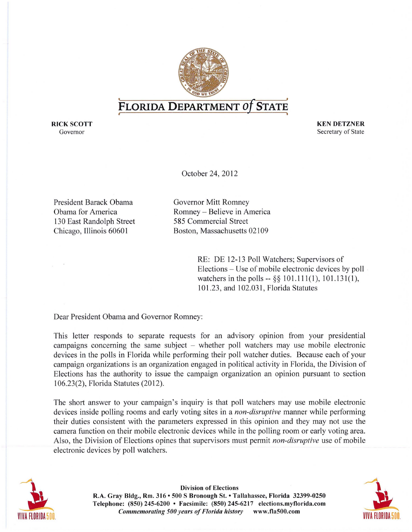

## **FLORIDA DEPARTMENT Of STATE** *t* **I**

RICK SCOTT FOR THE RICK SCOTT SERVICE SERVICES AND RESERVE ASSESSED. THE RICK SCOTT SERVICE SERVICE SERVICE SERVICE SERVICE SERVICE SERVICE SERVICE SERVICE SERVICE SERVICE SERVICE SERVICE SERVICE SERVICE SERVICE SERVICE SE Governor Secretary of State Governor Secretary of State Secretary of State Secretary of State Secretary of State Secretary of State Secretary of State Secretary of State Secretary of State Secretary of State Secretary of S

October 24, 2012

President Barack Obama Governor Mitt Romney 130 East Randolph Street 585 Commercial Street

Obama for America Romney - Believe in America Chicago, Illinois 60601 Boston, Massachusetts 02109

> RE: DE 12-13 Poll Watchers; Supervisors of Elections - Use of mobile electronic devices by poll watchers in the polls  $-$  §§ 101.111(1), 101.131(1), 101.23, and 102.031 , Florida Statutes

Dear President Obama and Governor Romney:

This letter responds to separate requests for an advisory opinion from your presidential campaigns concerning the same subject  $-$  whether poll watchers may use mobile electronic devices in the polls in Florida while performing their poll watcher duties. Because each of your campaign organizations is an organization engaged in political activity in Florida, the Division of Elections has the authority to issue the campaign organization an opinion pursuant to section 106.23(2), Florida Statutes (2012).

The short answer to your campaign's inquiry is that poll watchers may use mobile electronic devices inside polling rooms and early voting sites in a *non-disruptive* manner while performing their duties consistent with the parameters expressed in this opinion and they may not use the camera function on their mobile electronic devices while in the polling room or early voting area. Also, the Division of Elections opines that supervisors must permit *non-disruptive* use of mobile electronic devices by poll watchers.



Division of Elections R.A. Gray Bldg., Rm. 316· 500 S Bronough St. • Tallahassee, Florida 32399-0250 Telephone: (850) 245-6200 • Facsimile: (850) 245-6217 elections.myflorida.com **Commemorating 500 years of Florida history** www.fla500.com VIVA FLORIDA 500. VIVA FLORIDA 500. VIVA FLORIDA 500. VIVA FLORIDA 500. VIVA FLORIDA 500. VIVA FLORIDA 500.

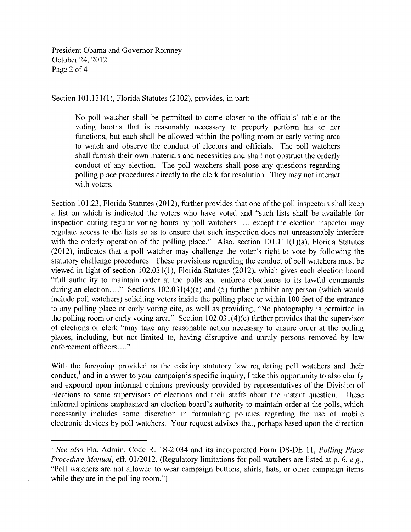President Obama and Governor Romney October 24,2012 Page 2 of 4

Section 101.131(1), Florida Statutes (2102), provides, in part:

No poll watcher shall be permitted to come closer to the officials' table or the voting booths that is reasonably necessary to properly perform his or her functions, but each shall be allowed within the polling room or early voting area to watch and observe the conduct of electors and officials. The poll watchers shall furnish their own materials and necessities and shall not obstruct the orderly conduct of any election. The poll watchers shall pose any questions regarding polling place procedures directly to the clerk for resolution. They may not interact with voters.

Section 101.23, Florida Statutes (2012), further provides that one of the poll inspectors shall keep a list on which is indicated the voters who have voted and "such lists shall be available for inspection during regular voting hours by poll watchers ..., except the election inspector may regulate access to the lists so as to ensure that such inspection does not unreasonably interfere with the orderly operation of the polling place." Also, section  $101.111(1)(a)$ , Florida Statutes (2012), indicates that a poll watcher may challenge the voter's right to vote by following the statutory challenge procedures. These provisions regarding the conduct of poll watchers must be viewed in light of section 102.031(1), Florida Statutes (2012), which gives each election board "full authority to maintain order at the polls and enforce obedience to its lawful commands during an election...." Sections  $102.031(4)(a)$  and (5) further prohibit any person (which would include poll watchers) soliciting voters inside the polling place or within 100 feet of the entrance to any polling place or early voting cite, as well as providing, "No photography is permitted in the polling room or early voting area." Section 102.031(4)(c) further provides that the supervisor of elections or clerk "may take any reasonable action necessary to ensure order at the polling places, including, but not limited to, having disruptive and unruly persons removed by law enforcement officers...."

With the foregoing provided as the existing statutory law regulating poll watchers and their conduct, $\frac{1}{x}$  and in answer to your campaign's specific inquiry, I take this opportunity to also clarify and expound upon informal opinions previously provided by representatives of the Division of Elections to some supervisors of elections and their staffs about the instant question. These informal opinions emphasized an election board's authority to maintain order at the polls, which necessarily includes some discretion in formulating policies regarding the use of mobile electronic devices by poll watchers. Your request advises that, perhaps based upon the direction

<sup>&</sup>lt;sup>1</sup> See also Fla. Admin. Code R. 1S-2.034 and its incorporated Form DS-DE 11, *Polling Place Procedure Manual,* eff. *0112012.* (Regulatory limitations for poll watchers are listed at p. 6, *e.g.,*  "Poll watchers are not allowed to wear campaign buttons, shirts, hats, or other campaign items while they are in the polling room."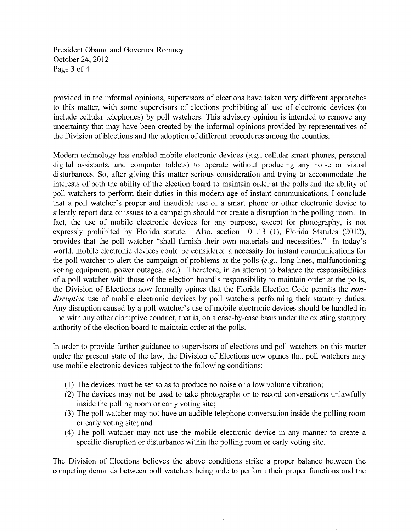President Obama and Governor Romney October 24,2012 Page 3 of 4

provided in the informal opinions, supervisors of elections have taken very different approaches to this matter, with some supervisors of elections prohibiting all use of electronic devices (to include cellular telephones) by poll watchers. This advisory opinion is intended to remove any uncertainty that may have been created by the informal opinions provided by representatives of the Division of Elections and the adoption of different procedures among the counties.

Modem technology has enabled mobile electronic devices *(e.g.,* cellular smart phones, personal digital assistants, and computer tablets) to operate without producing any noise or visual disturbances. So, after giving this matter serious consideration and trying to accommodate the interests of both the ability of the election board to maintain order at the polls and the ability of poll watchers to perform their duties in this modem age of instant communications, I conclude that a poll watcher's proper and inaudible use of a smart phone or other electronic device to silently report data or issues to a campaign should not create a disruption in the polling room. In fact, the use of mobile electronic devices for any purpose, except for photography, is not expressly prohibited by Florida statute. Also, section 101.131(1), Florida Statutes (2012), provides that the poll watcher "shall furnish their own materials and necessities." In today's world, mobile electronic devices could be considered a necessity for instant communications for the poll watcher to alert the campaign of problems at the polls *(e.g.,* long lines, malfunctioning voting equipment, power outages, *etc.).* Therefore, in an attempt to balance the responsibilities of a poll watcher with those of the election board's responsibility to maintain order at the polls, the Division of Elections now formally opines that the Florida Election Code permits the *nondisruptive* use of mobile electronic devices by poll watchers performing their statutory duties. Any disruption caused by a poll watcher's use of mobile electronic devices should be handled in line with any other disruptive conduct, that is, on a case-by-case basis under the existing statutory authority of the election board to maintain order at the polls.

In order to provide further guidance to supervisors of elections and poll watchers on this matter under the present state of the law, the Division of Elections now opines that poll watchers may use mobile electronic devices subject to the following conditions:

- (1) The devices must be set so as to produce no noise or a low volume vibration;
- (2) The devices may not be used to take photographs or to record conversations unlawfully inside the polling room or early voting site;
- (3) The poll watcher may not have an audible telephone conversation inside the polling room or early voting site; and
- (4) The poll watcher may not use the mobile electronic device in any manner to create a specific disruption or disturbance within the polling room or early voting site.

The Division of Elections believes the above conditions strike a proper balance between the competing demands between poll watchers being able to perform their proper functions and the